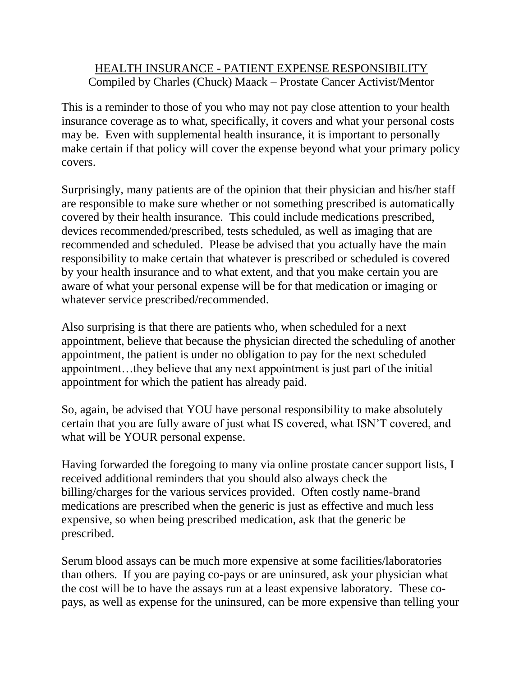## HEALTH INSURANCE - PATIENT EXPENSE RESPONSIBILITY Compiled by Charles (Chuck) Maack – Prostate Cancer Activist/Mentor

This is a reminder to those of you who may not pay close attention to your health insurance coverage as to what, specifically, it covers and what your personal costs may be. Even with supplemental health insurance, it is important to personally make certain if that policy will cover the expense beyond what your primary policy covers.

Surprisingly, many patients are of the opinion that their physician and his/her staff are responsible to make sure whether or not something prescribed is automatically covered by their health insurance. This could include medications prescribed, devices recommended/prescribed, tests scheduled, as well as imaging that are recommended and scheduled. Please be advised that you actually have the main responsibility to make certain that whatever is prescribed or scheduled is covered by your health insurance and to what extent, and that you make certain you are aware of what your personal expense will be for that medication or imaging or whatever service prescribed/recommended.

Also surprising is that there are patients who, when scheduled for a next appointment, believe that because the physician directed the scheduling of another appointment, the patient is under no obligation to pay for the next scheduled appointment…they believe that any next appointment is just part of the initial appointment for which the patient has already paid.

So, again, be advised that YOU have personal responsibility to make absolutely certain that you are fully aware of just what IS covered, what ISN'T covered, and what will be YOUR personal expense.

Having forwarded the foregoing to many via online prostate cancer support lists, I received additional reminders that you should also always check the billing/charges for the various services provided. Often costly name-brand medications are prescribed when the generic is just as effective and much less expensive, so when being prescribed medication, ask that the generic be prescribed.

Serum blood assays can be much more expensive at some facilities/laboratories than others. If you are paying co-pays or are uninsured, ask your physician what the cost will be to have the assays run at a least expensive laboratory. These copays, as well as expense for the uninsured, can be more expensive than telling your